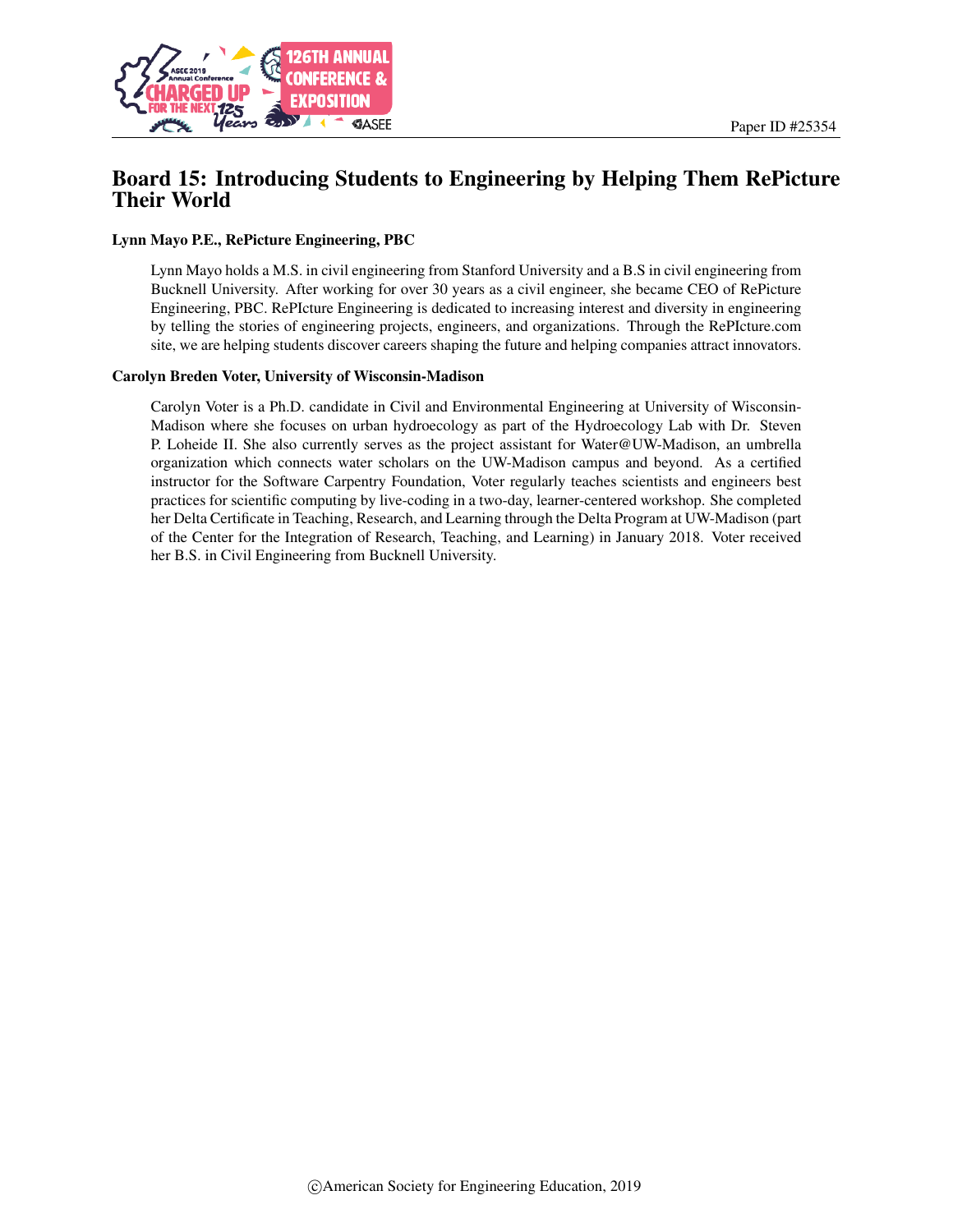

# Board 15: Introducing Students to Engineering by Helping Them RePicture Their World

#### Lynn Mayo P.E., RePicture Engineering, PBC

Lynn Mayo holds a M.S. in civil engineering from Stanford University and a B.S in civil engineering from Bucknell University. After working for over 30 years as a civil engineer, she became CEO of RePicture Engineering, PBC. RePIcture Engineering is dedicated to increasing interest and diversity in engineering by telling the stories of engineering projects, engineers, and organizations. Through the RePIcture.com site, we are helping students discover careers shaping the future and helping companies attract innovators.

#### Carolyn Breden Voter, University of Wisconsin-Madison

Carolyn Voter is a Ph.D. candidate in Civil and Environmental Engineering at University of Wisconsin-Madison where she focuses on urban hydroecology as part of the Hydroecology Lab with Dr. Steven P. Loheide II. She also currently serves as the project assistant for Water@UW-Madison, an umbrella organization which connects water scholars on the UW-Madison campus and beyond. As a certified instructor for the Software Carpentry Foundation, Voter regularly teaches scientists and engineers best practices for scientific computing by live-coding in a two-day, learner-centered workshop. She completed her Delta Certificate in Teaching, Research, and Learning through the Delta Program at UW-Madison (part of the Center for the Integration of Research, Teaching, and Learning) in January 2018. Voter received her B.S. in Civil Engineering from Bucknell University.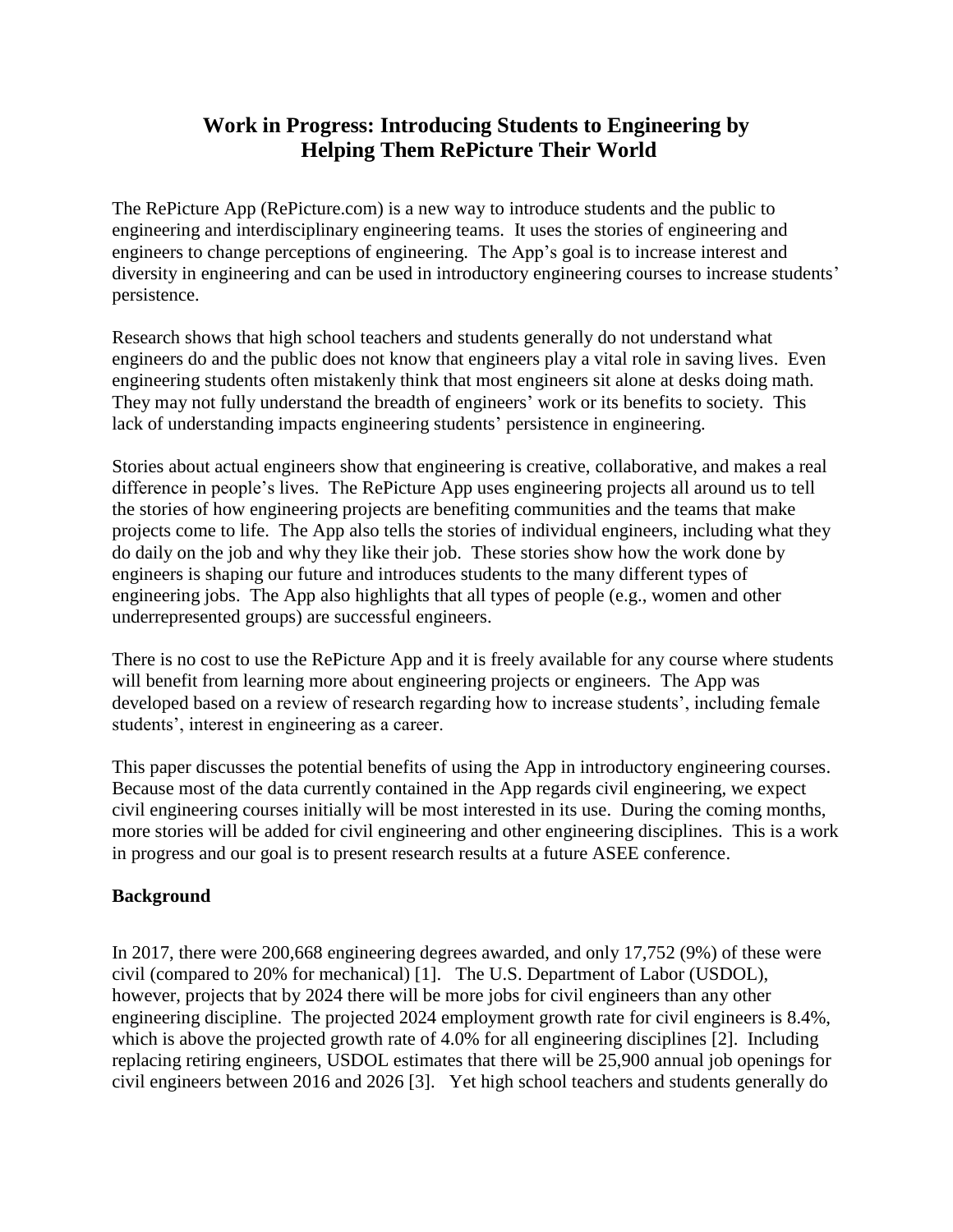# **Work in Progress: Introducing Students to Engineering by Helping Them RePicture Their World**

The RePicture App (RePicture.com) is a new way to introduce students and the public to engineering and interdisciplinary engineering teams. It uses the stories of engineering and engineers to change perceptions of engineering. The App's goal is to increase interest and diversity in engineering and can be used in introductory engineering courses to increase students' persistence.

Research shows that high school teachers and students generally do not understand what engineers do and the public does not know that engineers play a vital role in saving lives. Even engineering students often mistakenly think that most engineers sit alone at desks doing math. They may not fully understand the breadth of engineers' work or its benefits to society. This lack of understanding impacts engineering students' persistence in engineering.

Stories about actual engineers show that engineering is creative, collaborative, and makes a real difference in people's lives. The RePicture App uses engineering projects all around us to tell the stories of how engineering projects are benefiting communities and the teams that make projects come to life. The App also tells the stories of individual engineers, including what they do daily on the job and why they like their job. These stories show how the work done by engineers is shaping our future and introduces students to the many different types of engineering jobs. The App also highlights that all types of people (e.g., women and other underrepresented groups) are successful engineers.

There is no cost to use the RePicture App and it is freely available for any course where students will benefit from learning more about engineering projects or engineers. The App was developed based on a review of research regarding how to increase students', including female students', interest in engineering as a career.

This paper discusses the potential benefits of using the App in introductory engineering courses. Because most of the data currently contained in the App regards civil engineering, we expect civil engineering courses initially will be most interested in its use. During the coming months, more stories will be added for civil engineering and other engineering disciplines. This is a work in progress and our goal is to present research results at a future ASEE conference.

## **Background**

In 2017, there were 200,668 engineering degrees awarded, and only 17,752 (9%) of these were civil (compared to 20% for mechanical) [1]. The U.S. Department of Labor (USDOL), however, projects that by 2024 there will be more jobs for civil engineers than any other engineering discipline. The projected 2024 employment growth rate for civil engineers is 8.4%, which is above the projected growth rate of 4.0% for all engineering disciplines [2]. Including replacing retiring engineers, USDOL estimates that there will be 25,900 annual job openings for civil engineers between 2016 and 2026 [3]. Yet high school teachers and students generally do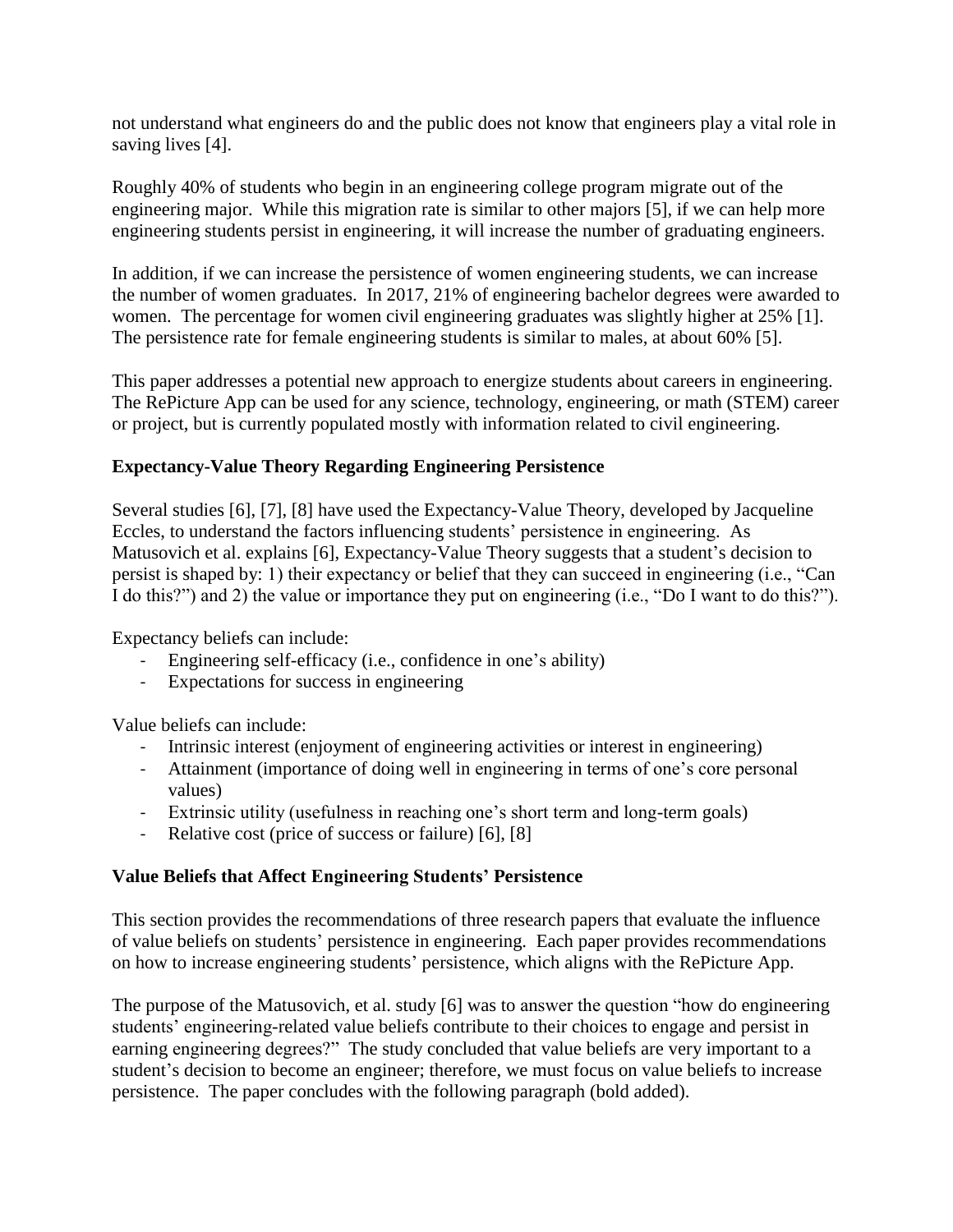not understand what engineers do and the public does not know that engineers play a vital role in saving lives [4].

Roughly 40% of students who begin in an engineering college program migrate out of the engineering major. While this migration rate is similar to other majors [5], if we can help more engineering students persist in engineering, it will increase the number of graduating engineers.

In addition, if we can increase the persistence of women engineering students, we can increase the number of women graduates. In 2017, 21% of engineering bachelor degrees were awarded to women. The percentage for women civil engineering graduates was slightly higher at 25% [1]. The persistence rate for female engineering students is similar to males, at about 60% [5].

This paper addresses a potential new approach to energize students about careers in engineering. The RePicture App can be used for any science, technology, engineering, or math (STEM) career or project, but is currently populated mostly with information related to civil engineering.

## **Expectancy-Value Theory Regarding Engineering Persistence**

Several studies [6], [7], [8] have used the Expectancy-Value Theory, developed by Jacqueline Eccles, to understand the factors influencing students' persistence in engineering. As Matusovich et al. explains [6], Expectancy-Value Theory suggests that a student's decision to persist is shaped by: 1) their expectancy or belief that they can succeed in engineering (i.e., "Can I do this?") and 2) the value or importance they put on engineering (i.e., "Do I want to do this?").

Expectancy beliefs can include:

- Engineering self-efficacy (i.e., confidence in one's ability)
- Expectations for success in engineering

Value beliefs can include:

- Intrinsic interest (enjoyment of engineering activities or interest in engineering)
- Attainment (importance of doing well in engineering in terms of one's core personal values)
- Extrinsic utility (usefulness in reaching one's short term and long-term goals)
- Relative cost (price of success or failure) [6], [8]

## **Value Beliefs that Affect Engineering Students' Persistence**

This section provides the recommendations of three research papers that evaluate the influence of value beliefs on students' persistence in engineering. Each paper provides recommendations on how to increase engineering students' persistence, which aligns with the RePicture App.

The purpose of the Matusovich, et al. study [6] was to answer the question "how do engineering students' engineering-related value beliefs contribute to their choices to engage and persist in earning engineering degrees?" The study concluded that value beliefs are very important to a student's decision to become an engineer; therefore, we must focus on value beliefs to increase persistence. The paper concludes with the following paragraph (bold added).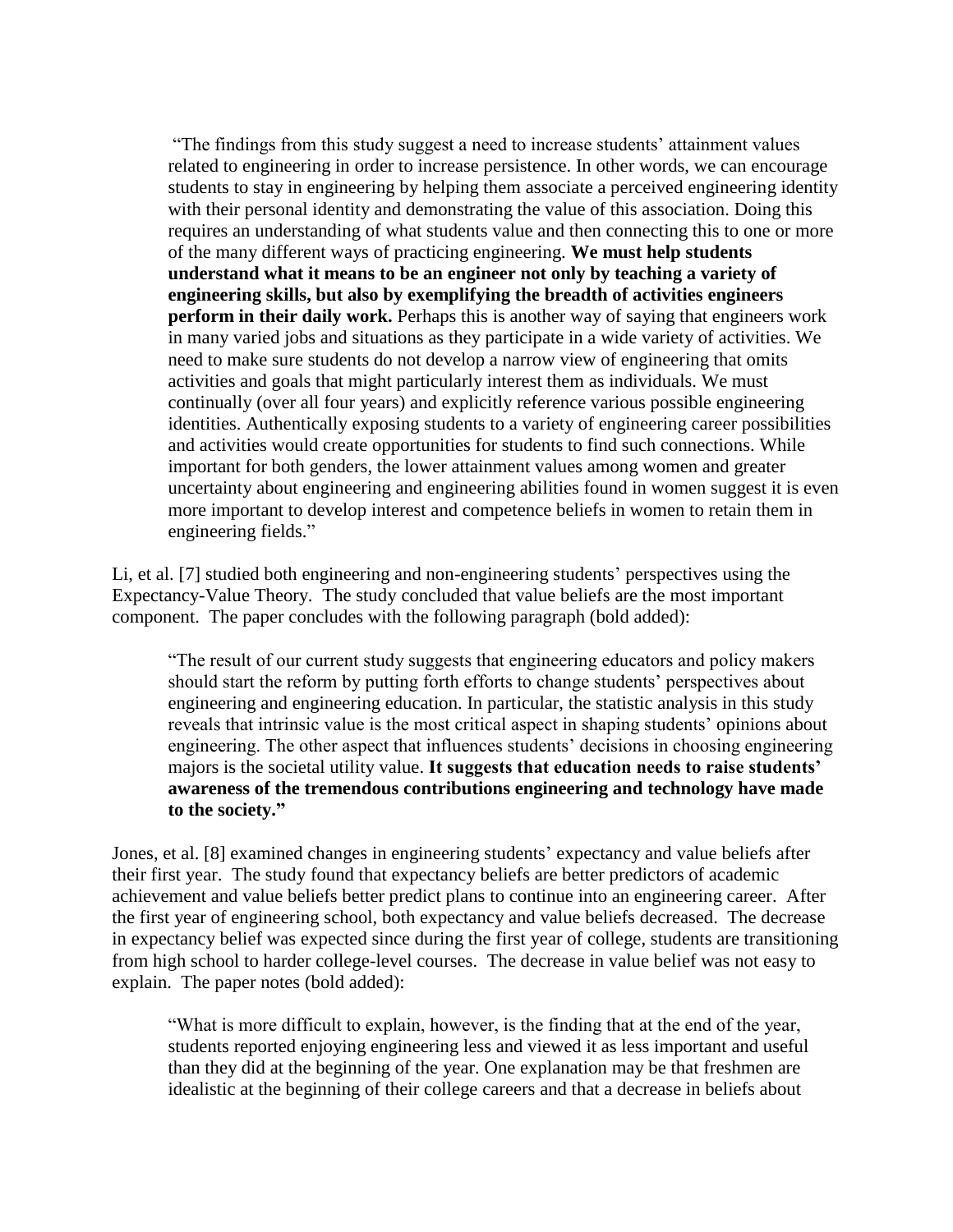"The findings from this study suggest a need to increase students' attainment values related to engineering in order to increase persistence. In other words, we can encourage students to stay in engineering by helping them associate a perceived engineering identity with their personal identity and demonstrating the value of this association. Doing this requires an understanding of what students value and then connecting this to one or more of the many different ways of practicing engineering. **We must help students understand what it means to be an engineer not only by teaching a variety of engineering skills, but also by exemplifying the breadth of activities engineers perform in their daily work.** Perhaps this is another way of saying that engineers work in many varied jobs and situations as they participate in a wide variety of activities. We need to make sure students do not develop a narrow view of engineering that omits activities and goals that might particularly interest them as individuals. We must continually (over all four years) and explicitly reference various possible engineering identities. Authentically exposing students to a variety of engineering career possibilities and activities would create opportunities for students to find such connections. While important for both genders, the lower attainment values among women and greater uncertainty about engineering and engineering abilities found in women suggest it is even more important to develop interest and competence beliefs in women to retain them in engineering fields."

Li, et al. [7] studied both engineering and non-engineering students' perspectives using the Expectancy-Value Theory. The study concluded that value beliefs are the most important component. The paper concludes with the following paragraph (bold added):

"The result of our current study suggests that engineering educators and policy makers should start the reform by putting forth efforts to change students' perspectives about engineering and engineering education. In particular, the statistic analysis in this study reveals that intrinsic value is the most critical aspect in shaping students' opinions about engineering. The other aspect that influences students' decisions in choosing engineering majors is the societal utility value. **It suggests that education needs to raise students' awareness of the tremendous contributions engineering and technology have made to the society."**

Jones, et al. [8] examined changes in engineering students' expectancy and value beliefs after their first year. The study found that expectancy beliefs are better predictors of academic achievement and value beliefs better predict plans to continue into an engineering career. After the first year of engineering school, both expectancy and value beliefs decreased. The decrease in expectancy belief was expected since during the first year of college, students are transitioning from high school to harder college-level courses. The decrease in value belief was not easy to explain. The paper notes (bold added):

"What is more difficult to explain, however, is the finding that at the end of the year, students reported enjoying engineering less and viewed it as less important and useful than they did at the beginning of the year. One explanation may be that freshmen are idealistic at the beginning of their college careers and that a decrease in beliefs about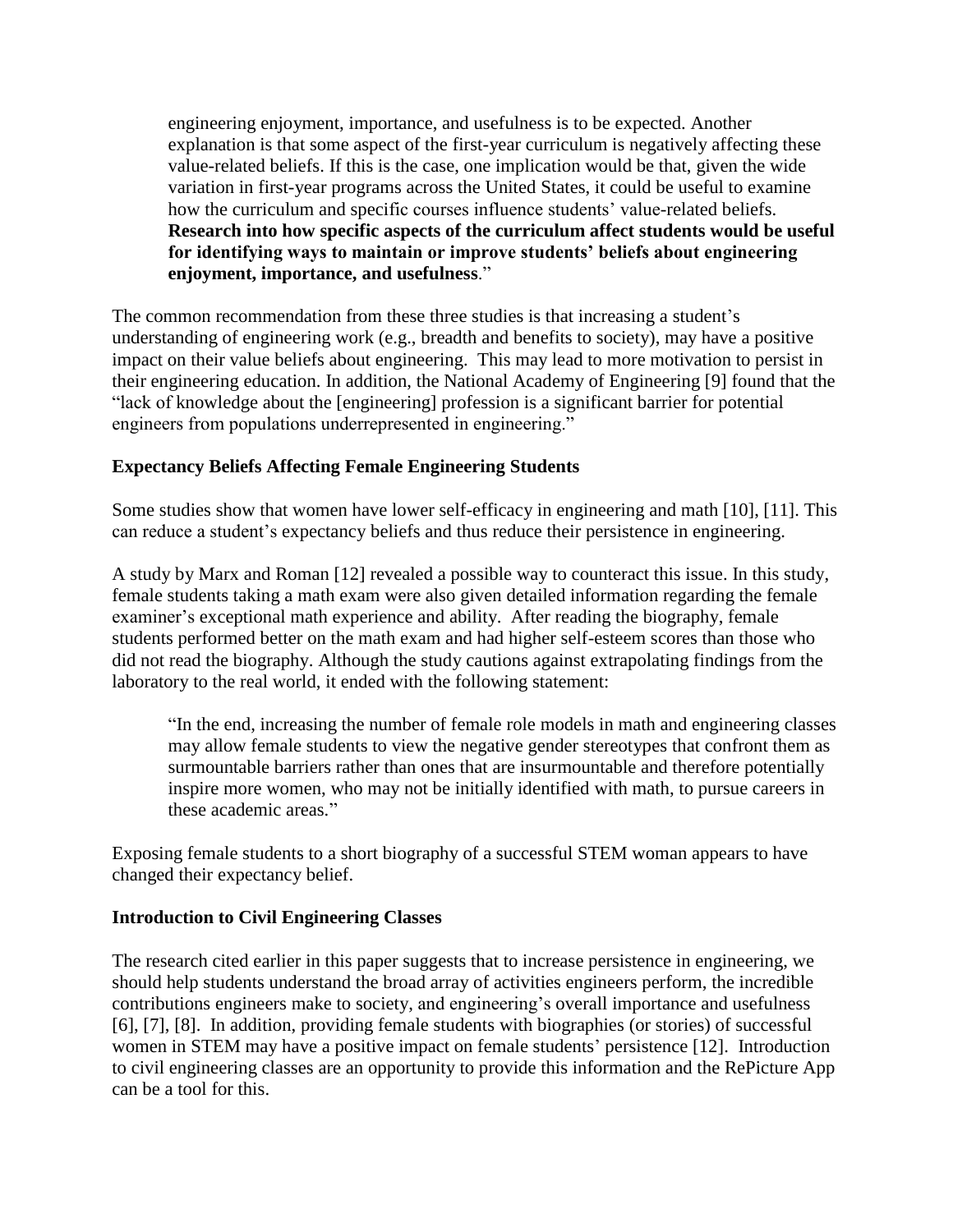engineering enjoyment, importance, and usefulness is to be expected. Another explanation is that some aspect of the first-year curriculum is negatively affecting these value-related beliefs. If this is the case, one implication would be that, given the wide variation in first-year programs across the United States, it could be useful to examine how the curriculum and specific courses influence students' value-related beliefs. **Research into how specific aspects of the curriculum affect students would be useful for identifying ways to maintain or improve students' beliefs about engineering enjoyment, importance, and usefulness**."

The common recommendation from these three studies is that increasing a student's understanding of engineering work (e.g., breadth and benefits to society), may have a positive impact on their value beliefs about engineering. This may lead to more motivation to persist in their engineering education. In addition, the National Academy of Engineering [9] found that the "lack of knowledge about the [engineering] profession is a significant barrier for potential engineers from populations underrepresented in engineering."

#### **Expectancy Beliefs Affecting Female Engineering Students**

Some studies show that women have lower self-efficacy in engineering and math [10], [11]. This can reduce a student's expectancy beliefs and thus reduce their persistence in engineering.

A study by Marx and Roman [12] revealed a possible way to counteract this issue. In this study, female students taking a math exam were also given detailed information regarding the female examiner's exceptional math experience and ability. After reading the biography, female students performed better on the math exam and had higher self-esteem scores than those who did not read the biography. Although the study cautions against extrapolating findings from the laboratory to the real world, it ended with the following statement:

"In the end, increasing the number of female role models in math and engineering classes may allow female students to view the negative gender stereotypes that confront them as surmountable barriers rather than ones that are insurmountable and therefore potentially inspire more women, who may not be initially identified with math, to pursue careers in these academic areas."

Exposing female students to a short biography of a successful STEM woman appears to have changed their expectancy belief.

#### **Introduction to Civil Engineering Classes**

The research cited earlier in this paper suggests that to increase persistence in engineering, we should help students understand the broad array of activities engineers perform, the incredible contributions engineers make to society, and engineering's overall importance and usefulness [6], [7], [8]. In addition, providing female students with biographies (or stories) of successful women in STEM may have a positive impact on female students' persistence [12]. Introduction to civil engineering classes are an opportunity to provide this information and the RePicture App can be a tool for this.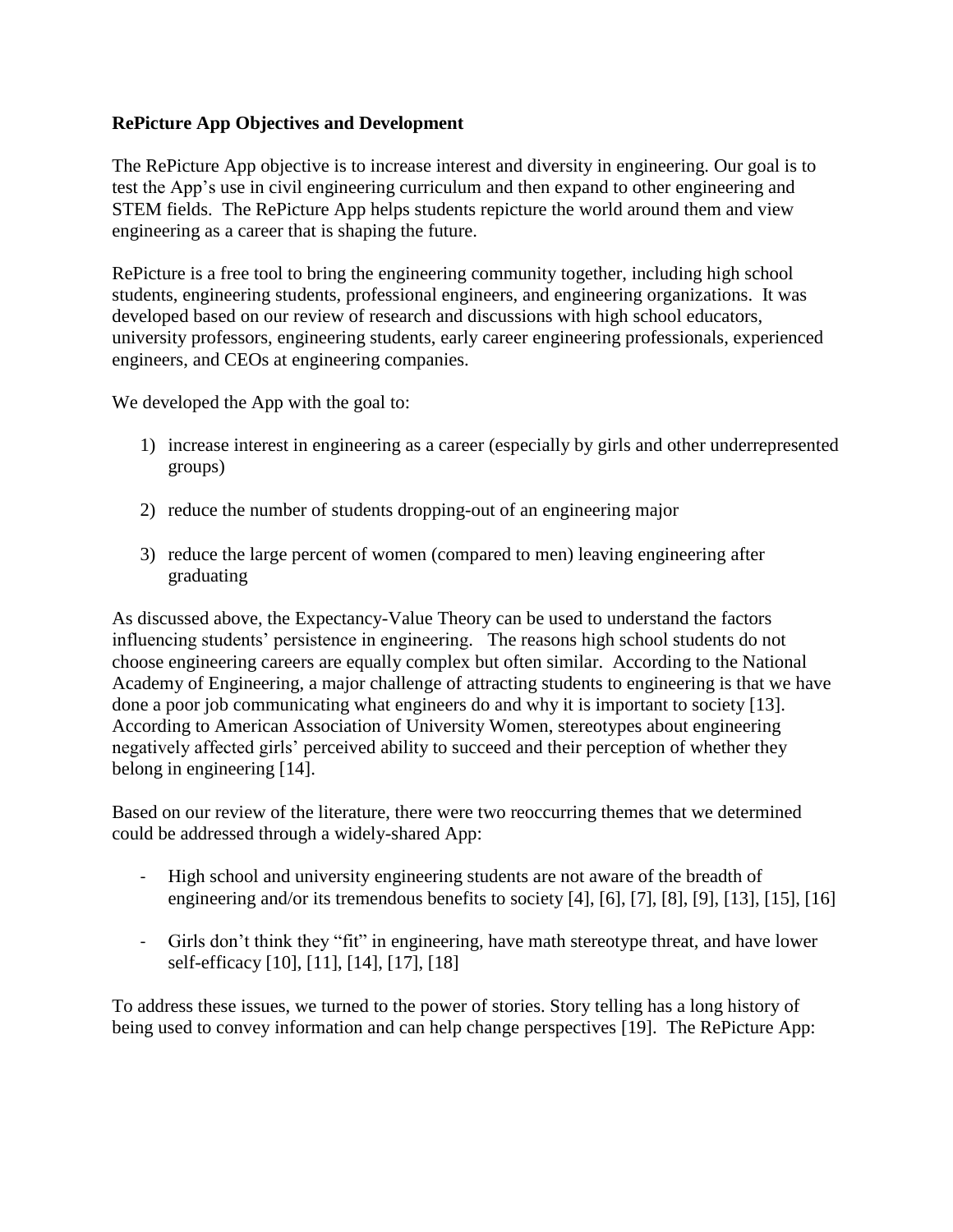#### **RePicture App Objectives and Development**

The RePicture App objective is to increase interest and diversity in engineering. Our goal is to test the App's use in civil engineering curriculum and then expand to other engineering and STEM fields. The RePicture App helps students repicture the world around them and view engineering as a career that is shaping the future.

RePicture is a free tool to bring the engineering community together, including high school students, engineering students, professional engineers, and engineering organizations. It was developed based on our review of research and discussions with high school educators, university professors, engineering students, early career engineering professionals, experienced engineers, and CEOs at engineering companies.

We developed the App with the goal to:

- 1) increase interest in engineering as a career (especially by girls and other underrepresented groups)
- 2) reduce the number of students dropping-out of an engineering major
- 3) reduce the large percent of women (compared to men) leaving engineering after graduating

As discussed above, the Expectancy-Value Theory can be used to understand the factors influencing students' persistence in engineering. The reasons high school students do not choose engineering careers are equally complex but often similar. According to the National Academy of Engineering, a major challenge of attracting students to engineering is that we have done a poor job communicating what engineers do and why it is important to society [13]. According to American Association of University Women, stereotypes about engineering negatively affected girls' perceived ability to succeed and their perception of whether they belong in engineering [14].

Based on our review of the literature, there were two reoccurring themes that we determined could be addressed through a widely-shared App:

- High school and university engineering students are not aware of the breadth of engineering and/or its tremendous benefits to society [4], [6], [7], [8], [9], [13], [15], [16]
- Girls don't think they "fit" in engineering, have math stereotype threat, and have lower self-efficacy [10], [11], [14], [17], [18]

To address these issues, we turned to the power of stories. Story telling has a long history of being used to convey information and can help change perspectives [19]. The RePicture App: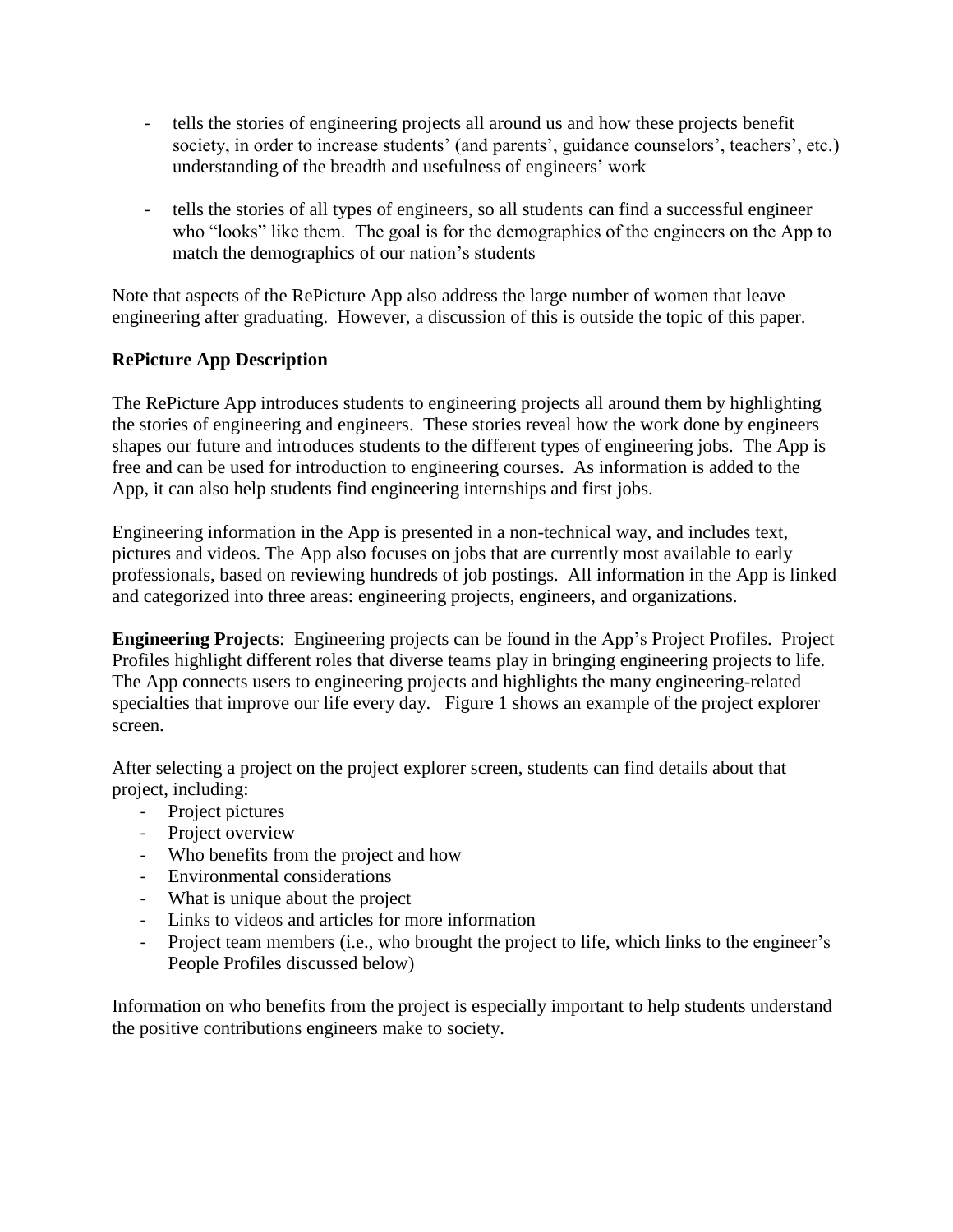- tells the stories of engineering projects all around us and how these projects benefit society, in order to increase students' (and parents', guidance counselors', teachers', etc.) understanding of the breadth and usefulness of engineers' work
- tells the stories of all types of engineers, so all students can find a successful engineer who "looks" like them. The goal is for the demographics of the engineers on the App to match the demographics of our nation's students

Note that aspects of the RePicture App also address the large number of women that leave engineering after graduating. However, a discussion of this is outside the topic of this paper.

# **RePicture App Description**

The RePicture App introduces students to engineering projects all around them by highlighting the stories of engineering and engineers. These stories reveal how the work done by engineers shapes our future and introduces students to the different types of engineering jobs. The App is free and can be used for introduction to engineering courses. As information is added to the App, it can also help students find engineering internships and first jobs.

Engineering information in the App is presented in a non-technical way, and includes text, pictures and videos. The App also focuses on jobs that are currently most available to early professionals, based on reviewing hundreds of job postings. All information in the App is linked and categorized into three areas: engineering projects, engineers, and organizations.

**Engineering Projects**: Engineering projects can be found in the App's Project Profiles. Project Profiles highlight different roles that diverse teams play in bringing engineering projects to life. The App connects users to engineering projects and highlights the many engineering-related specialties that improve our life every day. Figure 1 shows an example of the project explorer screen.

After selecting a project on the project explorer screen, students can find details about that project, including:

- Project pictures
- Project overview
- Who benefits from the project and how
- Environmental considerations
- What is unique about the project
- Links to videos and articles for more information
- Project team members (i.e., who brought the project to life, which links to the engineer's People Profiles discussed below)

Information on who benefits from the project is especially important to help students understand the positive contributions engineers make to society.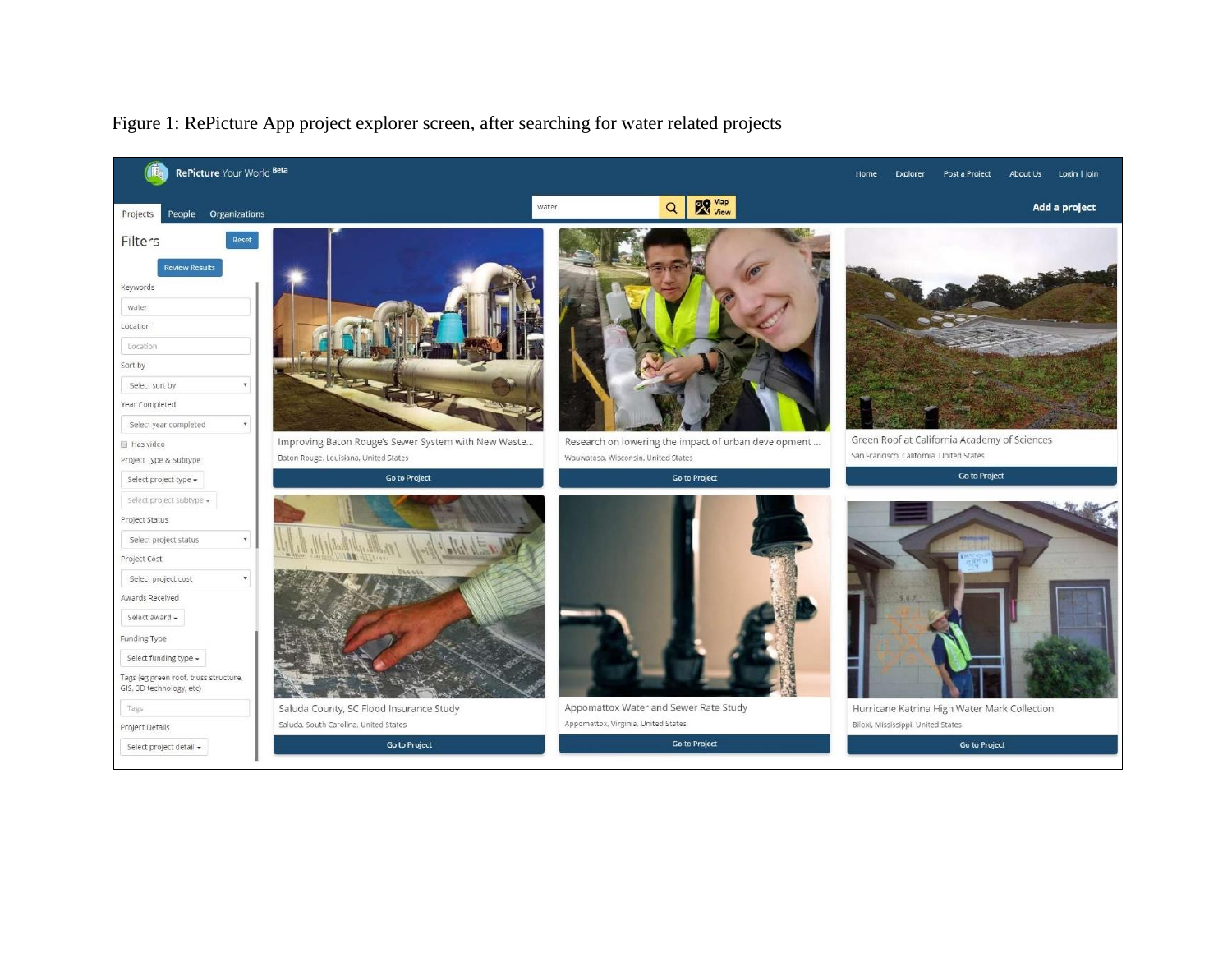

#### Figure 1: RePicture App project explorer screen, after searching for water related projects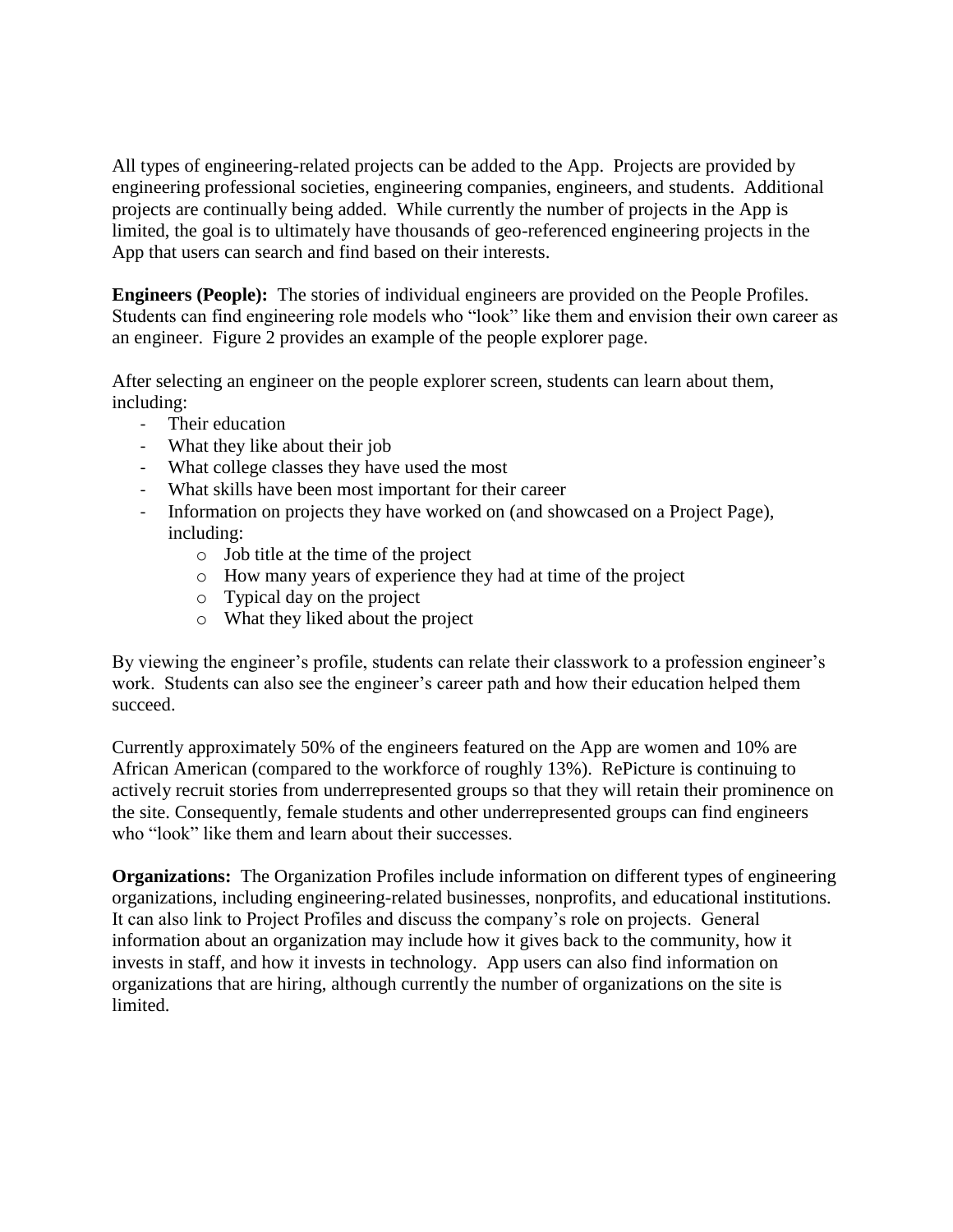All types of engineering-related projects can be added to the App. Projects are provided by engineering professional societies, engineering companies, engineers, and students. Additional projects are continually being added. While currently the number of projects in the App is limited, the goal is to ultimately have thousands of geo-referenced engineering projects in the App that users can search and find based on their interests.

**Engineers (People):** The stories of individual engineers are provided on the People Profiles. Students can find engineering role models who "look" like them and envision their own career as an engineer. Figure 2 provides an example of the people explorer page.

After selecting an engineer on the people explorer screen, students can learn about them, including:

- Their education
- What they like about their job
- What college classes they have used the most
- What skills have been most important for their career
- Information on projects they have worked on (and showcased on a Project Page), including:
	- o Job title at the time of the project
	- o How many years of experience they had at time of the project
	- o Typical day on the project
	- o What they liked about the project

By viewing the engineer's profile, students can relate their classwork to a profession engineer's work. Students can also see the engineer's career path and how their education helped them succeed.

Currently approximately 50% of the engineers featured on the App are women and 10% are African American (compared to the workforce of roughly 13%). RePicture is continuing to actively recruit stories from underrepresented groups so that they will retain their prominence on the site. Consequently, female students and other underrepresented groups can find engineers who "look" like them and learn about their successes.

**Organizations:** The Organization Profiles include information on different types of engineering organizations, including engineering-related businesses, nonprofits, and educational institutions. It can also link to Project Profiles and discuss the company's role on projects. General information about an organization may include how it gives back to the community, how it invests in staff, and how it invests in technology. App users can also find information on organizations that are hiring, although currently the number of organizations on the site is limited.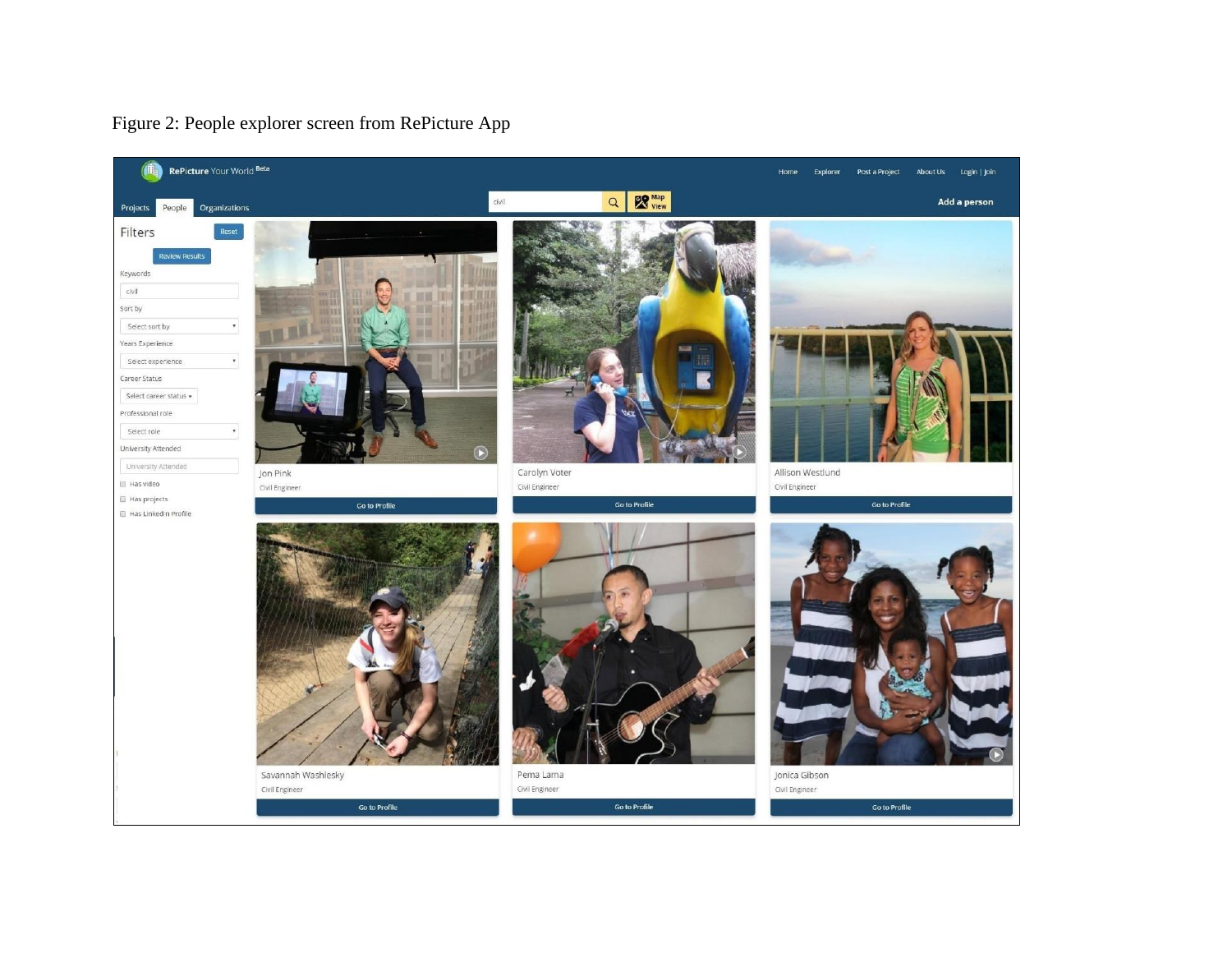

# Figure 2: People explorer screen from RePicture App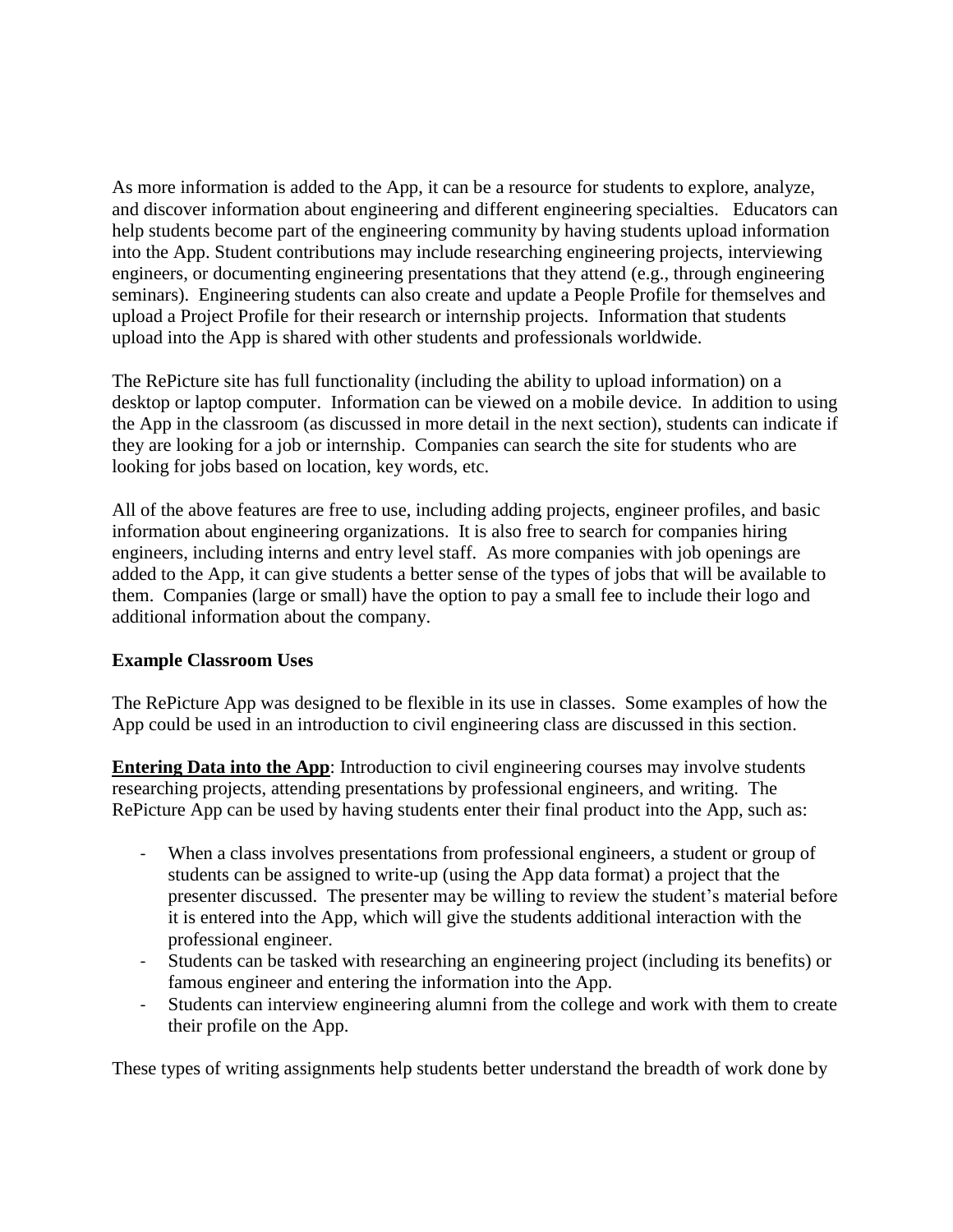As more information is added to the App, it can be a resource for students to explore, analyze, and discover information about engineering and different engineering specialties. Educators can help students become part of the engineering community by having students upload information into the App. Student contributions may include researching engineering projects, interviewing engineers, or documenting engineering presentations that they attend (e.g., through engineering seminars). Engineering students can also create and update a People Profile for themselves and upload a Project Profile for their research or internship projects. Information that students upload into the App is shared with other students and professionals worldwide.

The RePicture site has full functionality (including the ability to upload information) on a desktop or laptop computer. Information can be viewed on a mobile device. In addition to using the App in the classroom (as discussed in more detail in the next section), students can indicate if they are looking for a job or internship. Companies can search the site for students who are looking for jobs based on location, key words, etc.

All of the above features are free to use, including adding projects, engineer profiles, and basic information about engineering organizations. It is also free to search for companies hiring engineers, including interns and entry level staff. As more companies with job openings are added to the App, it can give students a better sense of the types of jobs that will be available to them. Companies (large or small) have the option to pay a small fee to include their logo and additional information about the company.

## **Example Classroom Uses**

The RePicture App was designed to be flexible in its use in classes. Some examples of how the App could be used in an introduction to civil engineering class are discussed in this section.

**Entering Data into the App**: Introduction to civil engineering courses may involve students researching projects, attending presentations by professional engineers, and writing. The RePicture App can be used by having students enter their final product into the App, such as:

- When a class involves presentations from professional engineers, a student or group of students can be assigned to write-up (using the App data format) a project that the presenter discussed. The presenter may be willing to review the student's material before it is entered into the App, which will give the students additional interaction with the professional engineer.
- Students can be tasked with researching an engineering project (including its benefits) or famous engineer and entering the information into the App.
- Students can interview engineering alumni from the college and work with them to create their profile on the App.

These types of writing assignments help students better understand the breadth of work done by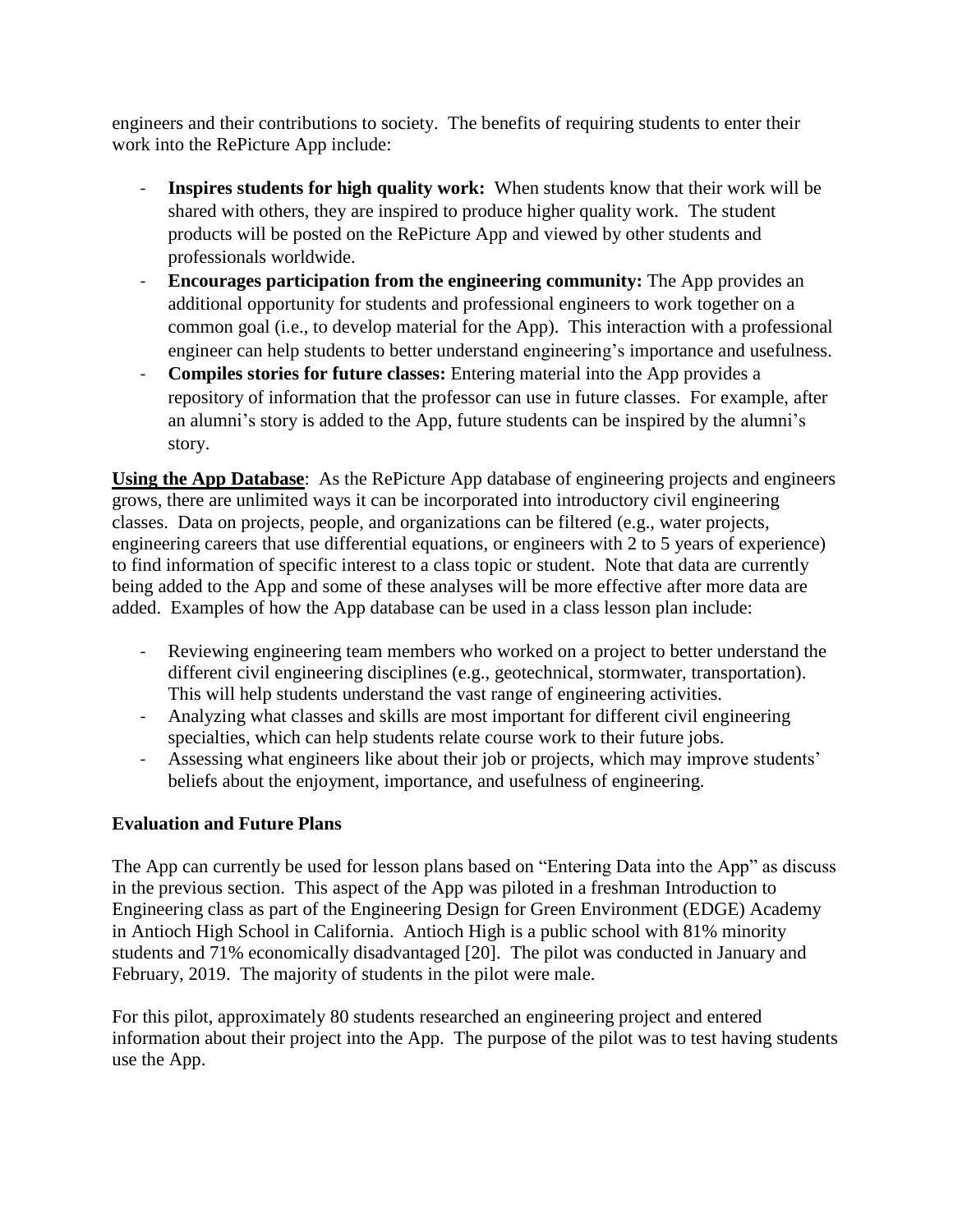engineers and their contributions to society. The benefits of requiring students to enter their work into the RePicture App include:

- **Inspires students for high quality work:** When students know that their work will be shared with others, they are inspired to produce higher quality work. The student products will be posted on the RePicture App and viewed by other students and professionals worldwide.
- **Encourages participation from the engineering community:** The App provides an additional opportunity for students and professional engineers to work together on a common goal (i.e., to develop material for the App). This interaction with a professional engineer can help students to better understand engineering's importance and usefulness.
- **Compiles stories for future classes:** Entering material into the App provides a repository of information that the professor can use in future classes. For example, after an alumni's story is added to the App, future students can be inspired by the alumni's story.

**Using the App Database**: As the RePicture App database of engineering projects and engineers grows, there are unlimited ways it can be incorporated into introductory civil engineering classes. Data on projects, people, and organizations can be filtered (e.g., water projects, engineering careers that use differential equations, or engineers with 2 to 5 years of experience) to find information of specific interest to a class topic or student. Note that data are currently being added to the App and some of these analyses will be more effective after more data are added. Examples of how the App database can be used in a class lesson plan include:

- Reviewing engineering team members who worked on a project to better understand the different civil engineering disciplines (e.g., geotechnical, stormwater, transportation). This will help students understand the vast range of engineering activities.
- Analyzing what classes and skills are most important for different civil engineering specialties, which can help students relate course work to their future jobs.
- Assessing what engineers like about their job or projects, which may improve students' beliefs about the enjoyment, importance, and usefulness of engineering.

## **Evaluation and Future Plans**

The App can currently be used for lesson plans based on "Entering Data into the App" as discuss in the previous section.This aspect of the App was piloted in a freshman Introduction to Engineering class as part of the Engineering Design for Green Environment (EDGE) Academy in Antioch High School in California. Antioch High is a public school with 81% minority students and 71% economically disadvantaged [20]. The pilot was conducted in January and February, 2019. The majority of students in the pilot were male.

For this pilot, approximately 80 students researched an engineering project and entered information about their project into the App. The purpose of the pilot was to test having students use the App.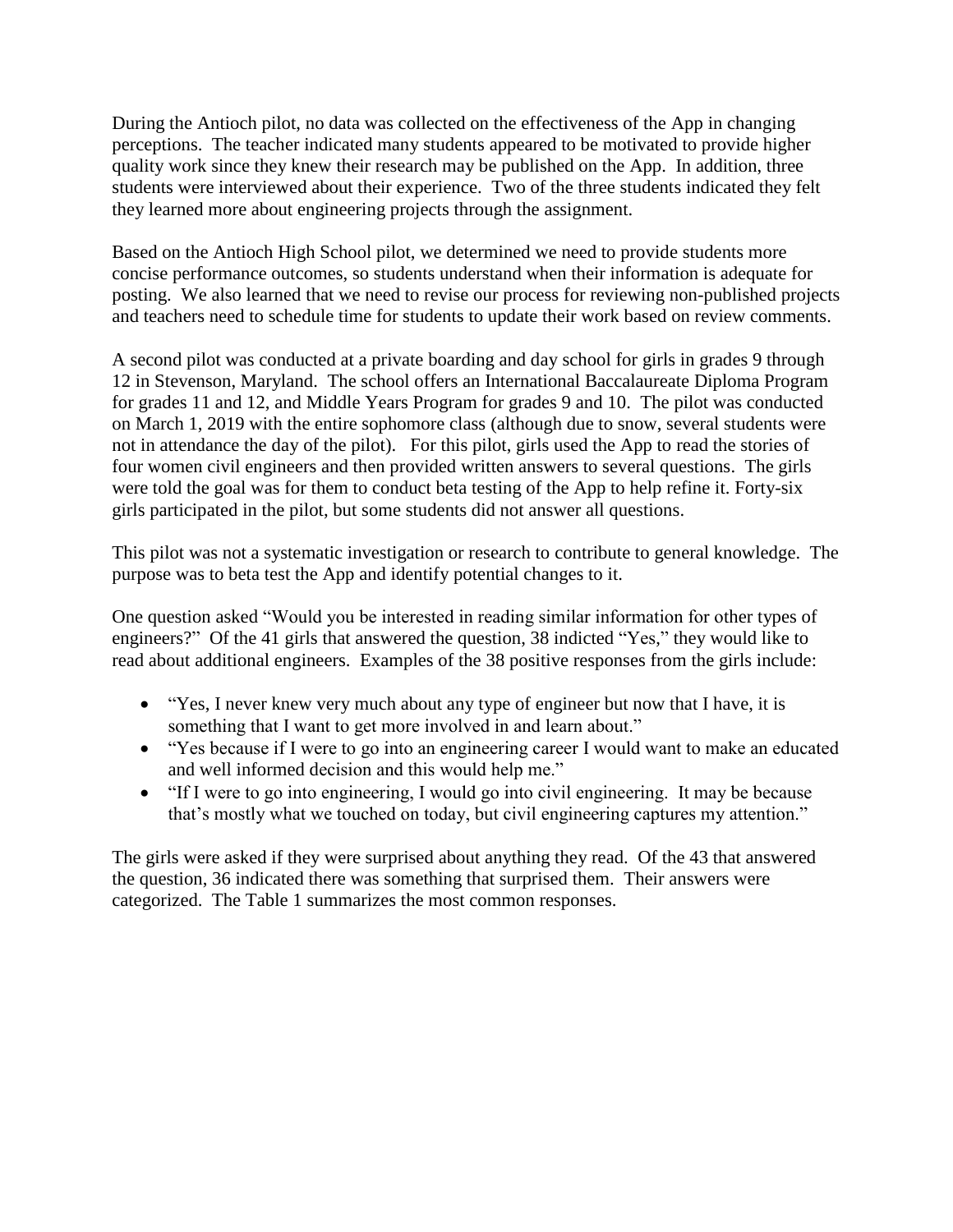During the Antioch pilot, no data was collected on the effectiveness of the App in changing perceptions. The teacher indicated many students appeared to be motivated to provide higher quality work since they knew their research may be published on the App. In addition, three students were interviewed about their experience. Two of the three students indicated they felt they learned more about engineering projects through the assignment.

Based on the Antioch High School pilot, we determined we need to provide students more concise performance outcomes, so students understand when their information is adequate for posting. We also learned that we need to revise our process for reviewing non-published projects and teachers need to schedule time for students to update their work based on review comments.

A second pilot was conducted at a private boarding and day school for girls in grades 9 through 12 in Stevenson, Maryland. The school offers an International Baccalaureate Diploma Program for grades 11 and 12, and Middle Years Program for grades 9 and 10. The pilot was conducted on March 1, 2019 with the entire sophomore class (although due to snow, several students were not in attendance the day of the pilot). For this pilot, girls used the App to read the stories of four women civil engineers and then provided written answers to several questions. The girls were told the goal was for them to conduct beta testing of the App to help refine it. Forty-six girls participated in the pilot, but some students did not answer all questions.

This pilot was not a systematic investigation or research to contribute to general knowledge. The purpose was to beta test the App and identify potential changes to it.

One question asked "Would you be interested in reading similar information for other types of engineers?" Of the 41 girls that answered the question, 38 indicted "Yes," they would like to read about additional engineers. Examples of the 38 positive responses from the girls include:

- "Yes, I never knew very much about any type of engineer but now that I have, it is something that I want to get more involved in and learn about."
- "Yes because if I were to go into an engineering career I would want to make an educated and well informed decision and this would help me."
- "If I were to go into engineering, I would go into civil engineering. It may be because that's mostly what we touched on today, but civil engineering captures my attention."

The girls were asked if they were surprised about anything they read. Of the 43 that answered the question, 36 indicated there was something that surprised them. Their answers were categorized. The Table 1 summarizes the most common responses.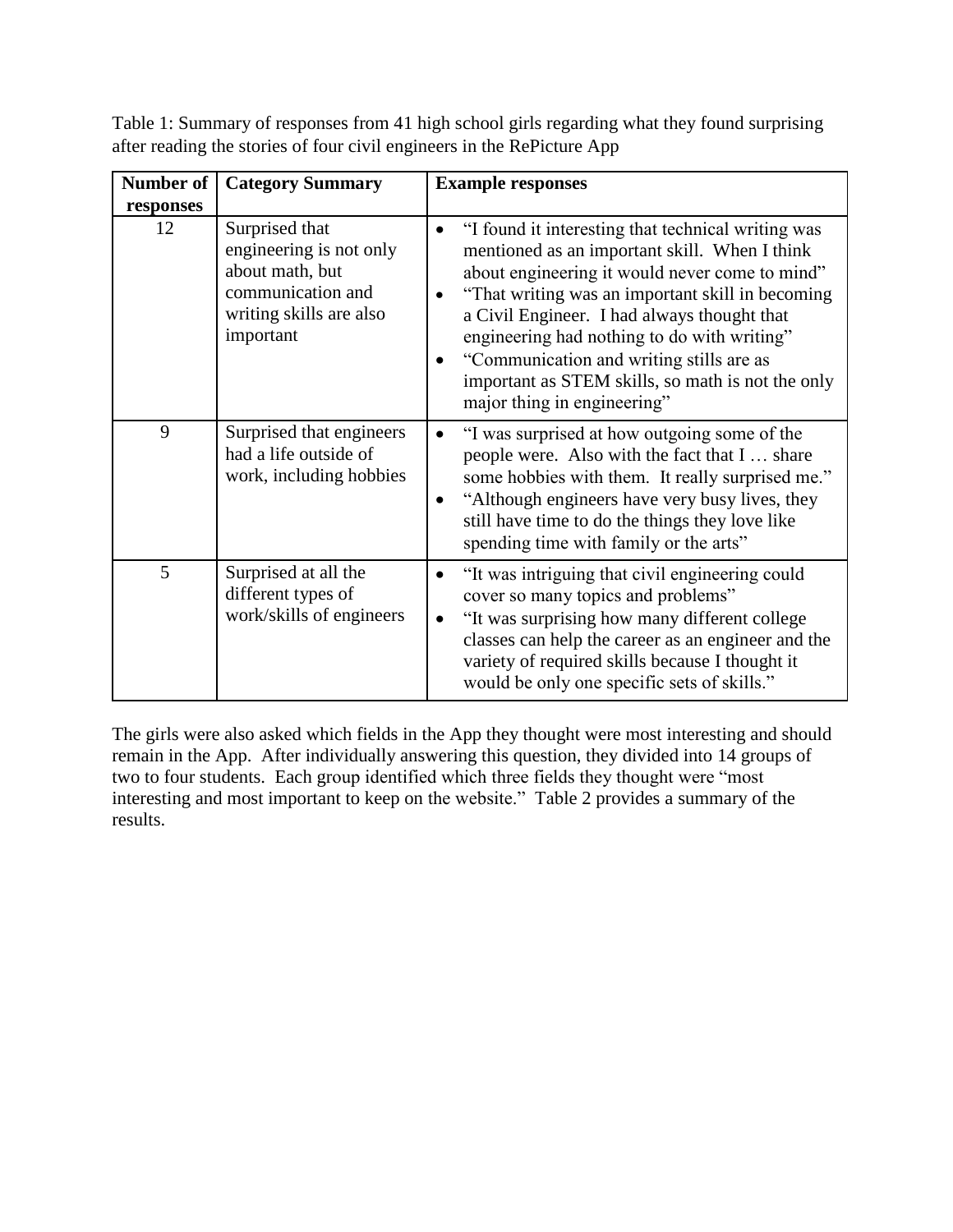| Table 1: Summary of responses from 41 high school girls regarding what they found surprising |  |
|----------------------------------------------------------------------------------------------|--|
| after reading the stories of four civil engineers in the RePicture App                       |  |

| Number of | <b>Category Summary</b>                                                                                                   | <b>Example responses</b>                                                                                                                                                                                                                                                                                                                                                                                                                |  |  |  |
|-----------|---------------------------------------------------------------------------------------------------------------------------|-----------------------------------------------------------------------------------------------------------------------------------------------------------------------------------------------------------------------------------------------------------------------------------------------------------------------------------------------------------------------------------------------------------------------------------------|--|--|--|
| responses |                                                                                                                           |                                                                                                                                                                                                                                                                                                                                                                                                                                         |  |  |  |
| 12        | Surprised that<br>engineering is not only<br>about math, but<br>communication and<br>writing skills are also<br>important | "I found it interesting that technical writing was<br>mentioned as an important skill. When I think<br>about engineering it would never come to mind"<br>"That writing was an important skill in becoming<br>a Civil Engineer. I had always thought that<br>engineering had nothing to do with writing"<br>"Communication and writing stills are as<br>important as STEM skills, so math is not the only<br>major thing in engineering" |  |  |  |
| 9         | Surprised that engineers<br>had a life outside of<br>work, including hobbies                                              | "I was surprised at how outgoing some of the<br>$\bullet$<br>people were. Also with the fact that I  share<br>some hobbies with them. It really surprised me."<br>"Although engineers have very busy lives, they<br>$\bullet$<br>still have time to do the things they love like<br>spending time with family or the arts"                                                                                                              |  |  |  |
| 5         | Surprised at all the<br>different types of<br>work/skills of engineers                                                    | "It was intriguing that civil engineering could<br>$\bullet$<br>cover so many topics and problems"<br>"It was surprising how many different college<br>classes can help the career as an engineer and the<br>variety of required skills because I thought it<br>would be only one specific sets of skills."                                                                                                                             |  |  |  |

The girls were also asked which fields in the App they thought were most interesting and should remain in the App. After individually answering this question, they divided into 14 groups of two to four students. Each group identified which three fields they thought were "most interesting and most important to keep on the website." Table 2 provides a summary of the results.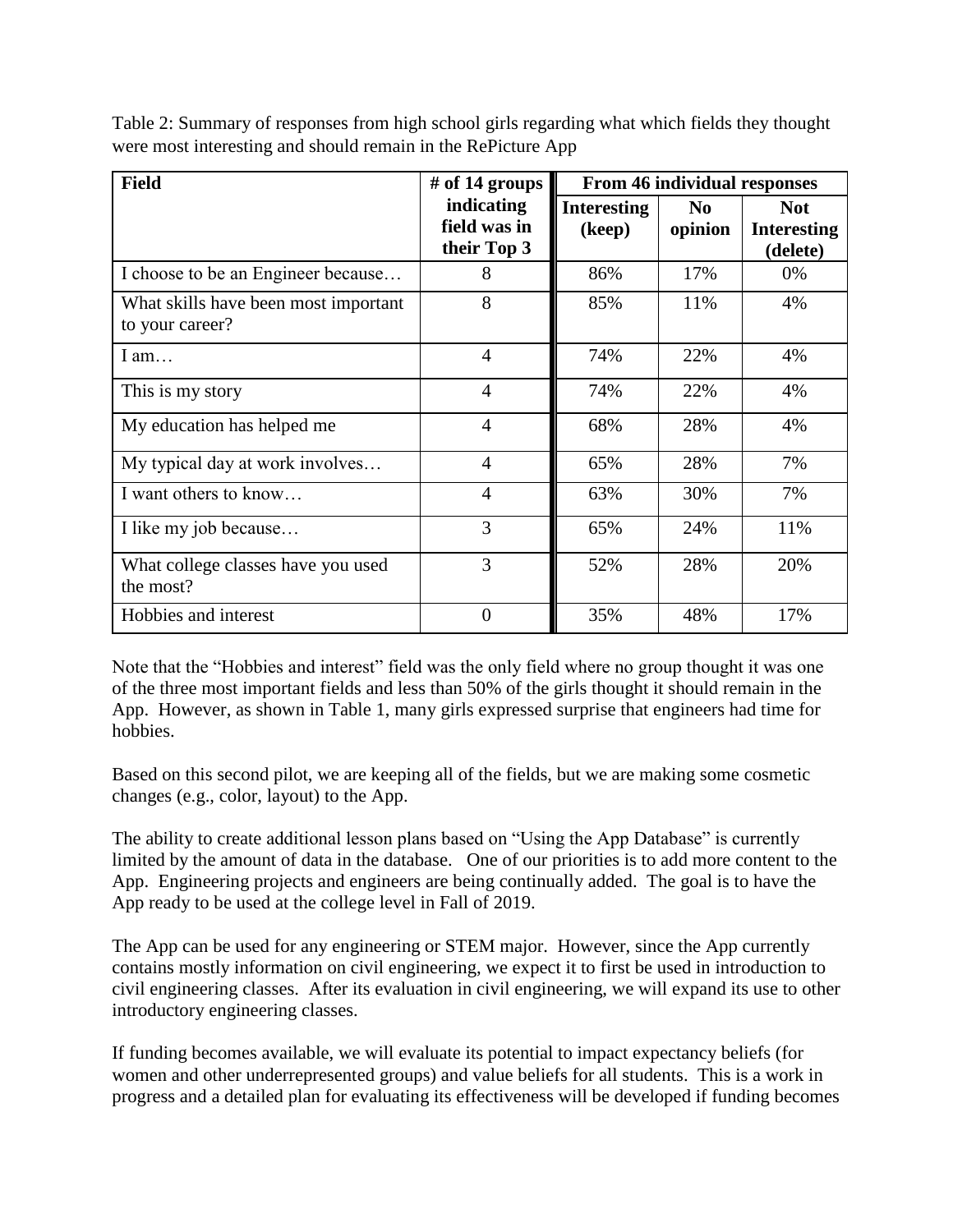| <b>Field</b>                                    | # of 14 groups | <b>From 46 individual responses</b> |                |                    |
|-------------------------------------------------|----------------|-------------------------------------|----------------|--------------------|
|                                                 | indicating     | <b>Interesting</b>                  | N <sub>0</sub> | <b>Not</b>         |
|                                                 | field was in   | (keep)                              | opinion        | <b>Interesting</b> |
|                                                 | their Top 3    |                                     |                | (delete)           |
| I choose to be an Engineer because              | 8              | 86%                                 | 17%            | 0%                 |
| What skills have been most important            | 8              | 85%                                 | 11%            | 4%                 |
| to your career?                                 |                |                                     |                |                    |
| I am                                            | $\overline{4}$ | 74%                                 | 22%            | 4%                 |
| This is my story                                | $\overline{4}$ | 74%                                 | 22%            | 4%                 |
| My education has helped me                      | $\overline{4}$ | 68%                                 | 28%            | 4%                 |
| My typical day at work involves                 | $\overline{4}$ | 65%                                 | 28%            | 7%                 |
| I want others to know                           | $\overline{4}$ | 63%                                 | 30%            | 7%                 |
| I like my job because                           | 3              | 65%                                 | 24%            | 11%                |
| What college classes have you used<br>the most? | 3              | 52%                                 | 28%            | 20%                |
| Hobbies and interest                            | $\overline{0}$ | 35%                                 | 48%            | 17%                |

Table 2: Summary of responses from high school girls regarding what which fields they thought were most interesting and should remain in the RePicture App

Note that the "Hobbies and interest" field was the only field where no group thought it was one of the three most important fields and less than 50% of the girls thought it should remain in the App. However, as shown in Table 1, many girls expressed surprise that engineers had time for hobbies.

Based on this second pilot, we are keeping all of the fields, but we are making some cosmetic changes (e.g., color, layout) to the App.

The ability to create additional lesson plans based on "Using the App Database" is currently limited by the amount of data in the database. One of our priorities is to add more content to the App. Engineering projects and engineers are being continually added. The goal is to have the App ready to be used at the college level in Fall of 2019.

The App can be used for any engineering or STEM major. However, since the App currently contains mostly information on civil engineering, we expect it to first be used in introduction to civil engineering classes. After its evaluation in civil engineering, we will expand its use to other introductory engineering classes.

If funding becomes available, we will evaluate its potential to impact expectancy beliefs (for women and other underrepresented groups) and value beliefs for all students. This is a work in progress and a detailed plan for evaluating its effectiveness will be developed if funding becomes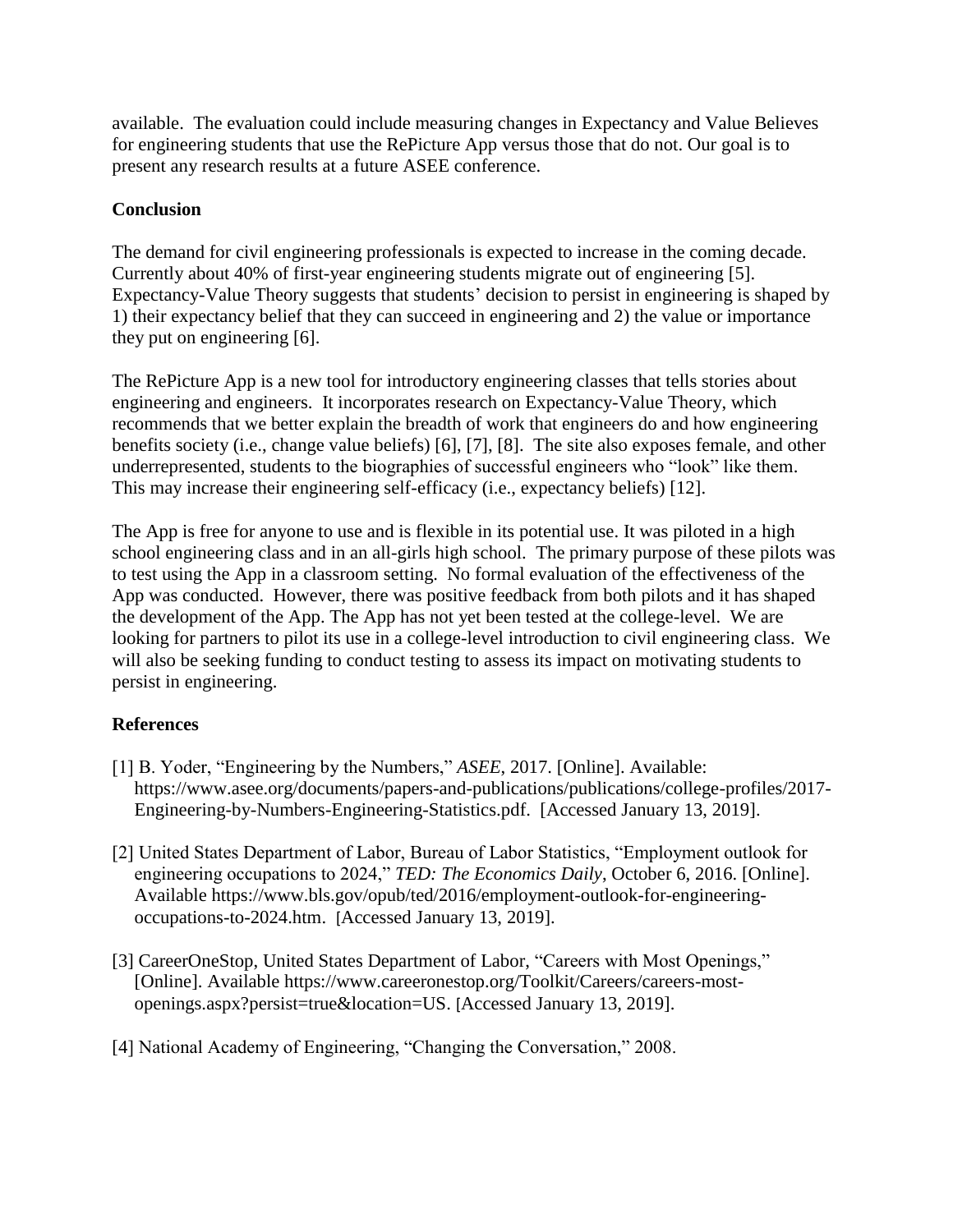available. The evaluation could include measuring changes in Expectancy and Value Believes for engineering students that use the RePicture App versus those that do not. Our goal is to present any research results at a future ASEE conference.

# **Conclusion**

The demand for civil engineering professionals is expected to increase in the coming decade. Currently about 40% of first-year engineering students migrate out of engineering [5]. Expectancy-Value Theory suggests that students' decision to persist in engineering is shaped by 1) their expectancy belief that they can succeed in engineering and 2) the value or importance they put on engineering [6].

The RePicture App is a new tool for introductory engineering classes that tells stories about engineering and engineers. It incorporates research on Expectancy-Value Theory, which recommends that we better explain the breadth of work that engineers do and how engineering benefits society (i.e., change value beliefs) [6], [7], [8]. The site also exposes female, and other underrepresented, students to the biographies of successful engineers who "look" like them. This may increase their engineering self-efficacy (i.e., expectancy beliefs) [12].

The App is free for anyone to use and is flexible in its potential use. It was piloted in a high school engineering class and in an all-girls high school. The primary purpose of these pilots was to test using the App in a classroom setting. No formal evaluation of the effectiveness of the App was conducted. However, there was positive feedback from both pilots and it has shaped the development of the App. The App has not yet been tested at the college-level. We are looking for partners to pilot its use in a college-level introduction to civil engineering class. We will also be seeking funding to conduct testing to assess its impact on motivating students to persist in engineering.

# **References**

- [1] B. Yoder, "Engineering by the Numbers," *ASEE*, 2017. [Online]. Available: [https://www.asee.org/documents/papers-and-publications/publications/college-profiles/2017-](https://www.asee.org/documents/papers-and-publications/publications/college-profiles/2017-Engineering-by-Numbers-Engineering-Statistics.pdf) [Engineering-by-Numbers-Engineering-Statistics.pdf.](https://www.asee.org/documents/papers-and-publications/publications/college-profiles/2017-Engineering-by-Numbers-Engineering-Statistics.pdf) [Accessed January 13, 2019].
- [2] United States Department of Labor, Bureau of Labor Statistics, "Employment outlook for engineering occupations to 2024," *TED: The Economics Daily*, October 6, 2016. [Online]. Available [https://www.bls.gov/opub/ted/2016/employment-outlook-for-engineering](https://www.bls.gov/opub/ted/2016/employment-outlook-for-engineering-occupations-to-2024.htm)[occupations-to-2024.htm.](https://www.bls.gov/opub/ted/2016/employment-outlook-for-engineering-occupations-to-2024.htm) [Accessed January 13, 2019].
- [3] CareerOneStop, United States Department of Labor, "Careers with Most Openings," [Online]. Available [https://www.careeronestop.org/Toolkit/Careers/careers-most](https://www.careeronestop.org/Toolkit/Careers/careers-most-openings.aspx?persist=true&location=US)[openings.aspx?persist=true&location=US.](https://www.careeronestop.org/Toolkit/Careers/careers-most-openings.aspx?persist=true&location=US) [Accessed January 13, 2019].
- [4] National Academy of Engineering, "Changing the Conversation," 2008.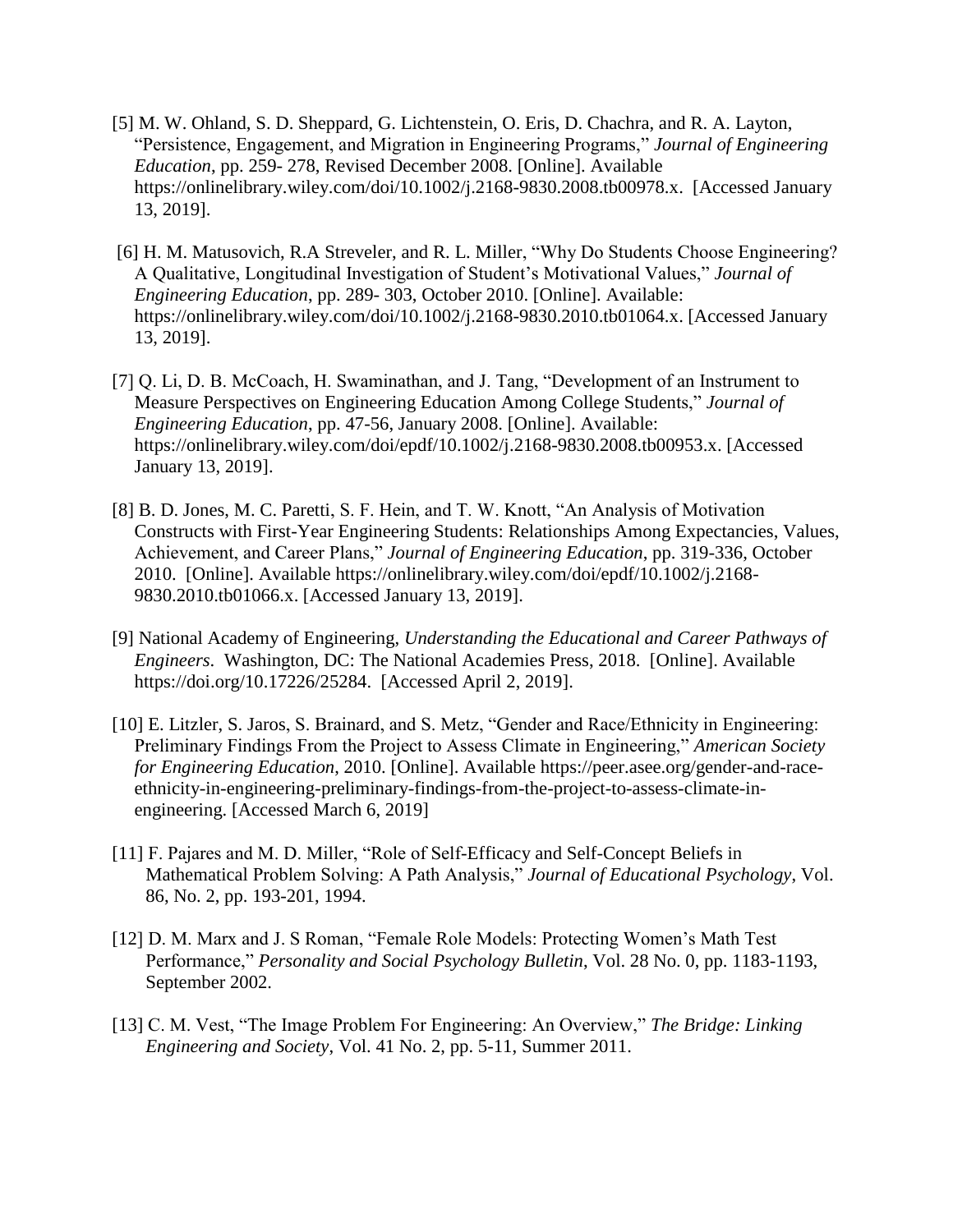- [5] M. W. Ohland, S. D. Sheppard, G. Lichtenstein, O. Eris, D. Chachra, and R. A. Layton, "Persistence, Engagement, and Migration in Engineering Programs," *Journal of Engineering Education*, pp. 259- 278, Revised December 2008. [Online]. Available [https://onlinelibrary.wiley.com/doi/10.1002/j.2168-9830.2008.tb00978.x.](https://onlinelibrary.wiley.com/doi/10.1002/j.2168-9830.2008.tb00978.x) [Accessed January 13, 2019].
- [6] H. M. Matusovich, R.A Streveler, and R. L. Miller, "Why Do Students Choose Engineering? A Qualitative, Longitudinal Investigation of Student's Motivational Values," *Journal of Engineering Education*, pp. 289- 303, October 2010. [Online]. Available: [https://onlinelibrary.wiley.com/doi/10.1002/j.2168-9830.2010.tb01064.x.](https://onlinelibrary.wiley.com/doi/10.1002/j.2168-9830.2010.tb01064.x) [Accessed January 13, 2019].
- [7] Q. Li, D. B. McCoach, H. Swaminathan, and J. Tang, "Development of an Instrument to Measure Perspectives on Engineering Education Among College Students," *Journal of Engineering Education*, pp. 47-56, January 2008. [Online]. Available: [https://onlinelibrary.wiley.com/doi/epdf/10.1002/j.2168-9830.2008.tb00953.x.](https://onlinelibrary.wiley.com/doi/epdf/10.1002/j.2168-9830.2008.tb00953.x) [Accessed January 13, 2019].
- [8] B. D. Jones, M. C. Paretti, S. F. Hein, and T. W. Knott, "An Analysis of Motivation Constructs with First-Year Engineering Students: Relationships Among Expectancies, Values, Achievement, and Career Plans," *Journal of Engineering Education*, pp. 319-336, October 2010. [Online]. Available [https://onlinelibrary.wiley.com/doi/epdf/10.1002/j.2168-](https://onlinelibrary.wiley.com/doi/epdf/10.1002/j.2168-9830.2010.tb01066.x) [9830.2010.tb01066.x.](https://onlinelibrary.wiley.com/doi/epdf/10.1002/j.2168-9830.2010.tb01066.x) [Accessed January 13, 2019].
- [9] National Academy of Engineering, *Understanding the Educational and Career Pathways of Engineers*. Washington, DC: The National Academies Press, 2018. [Online]. Available https://doi.org/10.17226/25284. [Accessed April 2, 2019].
- [10] E. Litzler, S. Jaros, S. Brainard, and S. Metz, "Gender and Race/Ethnicity in Engineering: Preliminary Findings From the Project to Assess Climate in Engineering," *American Society for Engineering Education*, 2010. [Online]. Available [https://peer.asee.org/gender-and-race](https://peer.asee.org/gender-and-race-ethnicity-in-engineering-preliminary-findings-from-the-project-to-assess-climate-in-engineering)[ethnicity-in-engineering-preliminary-findings-from-the-project-to-assess-climate-in](https://peer.asee.org/gender-and-race-ethnicity-in-engineering-preliminary-findings-from-the-project-to-assess-climate-in-engineering)[engineering.](https://peer.asee.org/gender-and-race-ethnicity-in-engineering-preliminary-findings-from-the-project-to-assess-climate-in-engineering) [Accessed March 6, 2019]
- [11] F. Pajares and M. D. Miller, "Role of Self-Efficacy and Self-Concept Beliefs in Mathematical Problem Solving: A Path Analysis," *Journal of Educational Psychology*, Vol. 86, No. 2, pp. 193-201, 1994.
- [12] D. M. Marx and J. S Roman, "Female Role Models: Protecting Women's Math Test Performance," *Personality and Social Psychology Bulletin*, Vol. 28 No. 0, pp. 1183-1193, September 2002.
- [13] C. M. Vest, "The Image Problem For Engineering: An Overview," *The Bridge: Linking Engineering and Society*, Vol. 41 No. 2, pp. 5-11, Summer 2011.